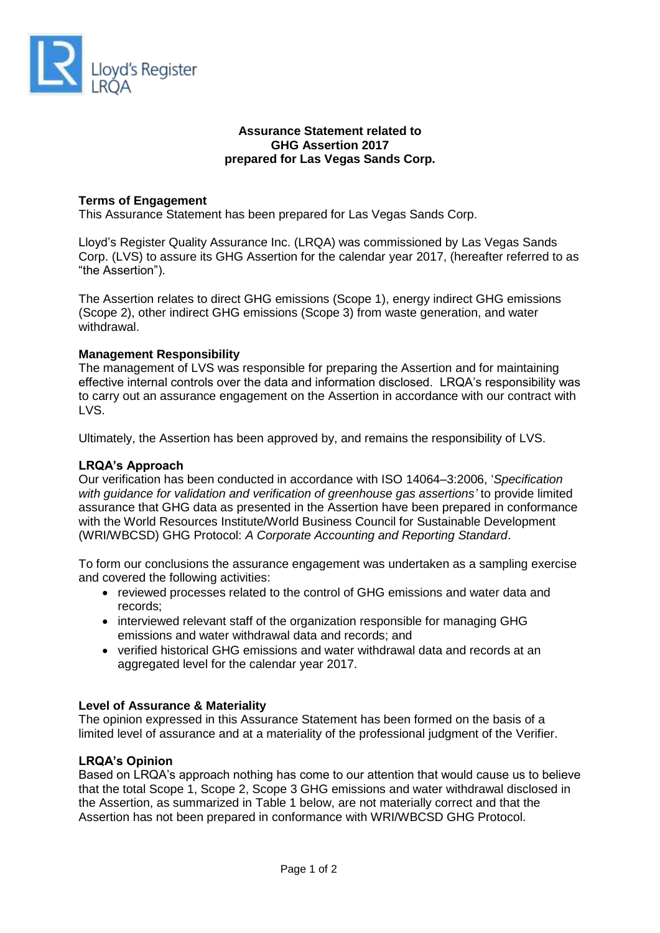

# **Assurance Statement related to GHG Assertion 2017 prepared for Las Vegas Sands Corp.**

## **Terms of Engagement**

This Assurance Statement has been prepared for Las Vegas Sands Corp.

Lloyd's Register Quality Assurance Inc. (LRQA) was commissioned by Las Vegas Sands Corp. (LVS) to assure its GHG Assertion for the calendar year 2017, (hereafter referred to as "the Assertion").

The Assertion relates to direct GHG emissions (Scope 1), energy indirect GHG emissions (Scope 2), other indirect GHG emissions (Scope 3) from waste generation, and water withdrawal.

## **Management Responsibility**

The management of LVS was responsible for preparing the Assertion and for maintaining effective internal controls over the data and information disclosed. LRQA's responsibility was to carry out an assurance engagement on the Assertion in accordance with our contract with LVS.

Ultimately, the Assertion has been approved by, and remains the responsibility of LVS.

#### **LRQA's Approach**

Our verification has been conducted in accordance with ISO 14064–3:2006, '*Specification with guidance for validation and verification of greenhouse gas assertions'* to provide limited assurance that GHG data as presented in the Assertion have been prepared in conformance with the World Resources Institute/World Business Council for Sustainable Development (WRI/WBCSD) GHG Protocol: *A Corporate Accounting and Reporting Standard*.

To form our conclusions the assurance engagement was undertaken as a sampling exercise and covered the following activities:

- reviewed processes related to the control of GHG emissions and water data and records;
- interviewed relevant staff of the organization responsible for managing GHG emissions and water withdrawal data and records; and
- verified historical GHG emissions and water withdrawal data and records at an aggregated level for the calendar year 2017.

## **Level of Assurance & Materiality**

The opinion expressed in this Assurance Statement has been formed on the basis of a limited level of assurance and at a materiality of the professional judgment of the Verifier.

#### **LRQA's Opinion**

Based on LRQA's approach nothing has come to our attention that would cause us to believe that the total Scope 1, Scope 2, Scope 3 GHG emissions and water withdrawal disclosed in the Assertion, as summarized in Table 1 below, are not materially correct and that the Assertion has not been prepared in conformance with WRI/WBCSD GHG Protocol.